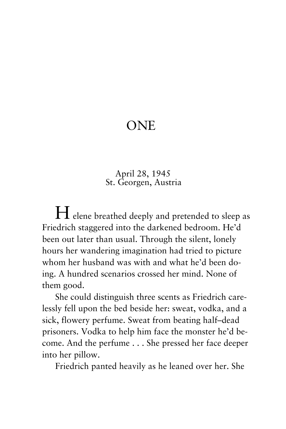## ONE

## April 28, 1945 St. Georgen, Austria

 $H$  elene breathed deeply and pretended to sleep as Friedrich staggered into the darkened bedroom. He'd been out later than usual. Through the silent, lonely hours her wandering imagination had tried to picture whom her husband was with and what he'd been doing. A hundred scenarios crossed her mind. None of them good.

She could distinguish three scents as Friedrich carelessly fell upon the bed beside her: sweat, vodka, and a sick, flowery perfume. Sweat from beating half–dead prisoners. Vodka to help him face the monster he'd become. And the perfume . . . She pressed her face deeper into her pillow.

Friedrich panted heavily as he leaned over her. She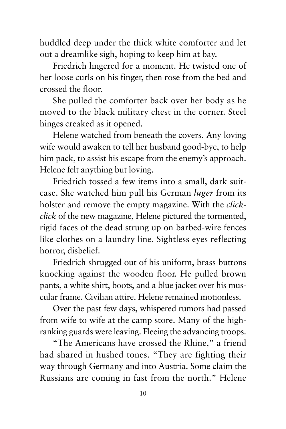huddled deep under the thick white comforter and let out a dreamlike sigh, hoping to keep him at bay.

Friedrich lingered for a moment. He twisted one of her loose curls on his finger, then rose from the bed and crossed the floor.

She pulled the comforter back over her body as he moved to the black military chest in the corner. Steel hinges creaked as it opened.

Helene watched from beneath the covers. Any loving wife would awaken to tell her husband good-bye, to help him pack, to assist his escape from the enemy's approach. Helene felt anything but loving.

Friedrich tossed a few items into a small, dark suitcase. She watched him pull his German *luger* from its holster and remove the empty magazine. With the *clickclick* of the new magazine, Helene pictured the tormented, rigid faces of the dead strung up on barbed-wire fences like clothes on a laundry line. Sightless eyes reflecting horror, disbelief.

Friedrich shrugged out of his uniform, brass buttons knocking against the wooden floor. He pulled brown pants, a white shirt, boots, and a blue jacket over his muscular frame. Civilian attire. Helene remained motionless.

Over the past few days, whispered rumors had passed from wife to wife at the camp store. Many of the highranking guards were leaving. Fleeing the advancing troops.

"The Americans have crossed the Rhine," a friend had shared in hushed tones. "They are fighting their way through Germany and into Austria. Some claim the Russians are coming in fast from the north." Helene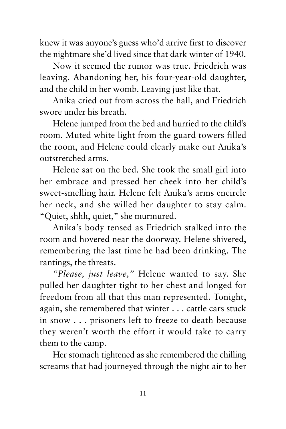knew it was anyone's guess who'd arrive first to discover the nightmare she'd lived since that dark winter of 1940.

Now it seemed the rumor was true. Friedrich was leaving. Abandoning her, his four-year-old daughter, and the child in her womb. Leaving just like that.

Anika cried out from across the hall, and Friedrich swore under his breath.

Helene jumped from the bed and hurried to the child's room. Muted white light from the guard towers filled the room, and Helene could clearly make out Anika's outstretched arms.

Helene sat on the bed. She took the small girl into her embrace and pressed her cheek into her child's sweet-smelling hair. Helene felt Anika's arms encircle her neck, and she willed her daughter to stay calm. "Quiet, shhh, quiet," she murmured.

Anika's body tensed as Friedrich stalked into the room and hovered near the doorway. Helene shivered, remembering the last time he had been drinking. The rantings, the threats.

*"Please, just leave,"* Helene wanted to say. She pulled her daughter tight to her chest and longed for freedom from all that this man represented. Tonight, again, she remembered that winter . . . cattle cars stuck in snow . . . prisoners left to freeze to death because they weren't worth the effort it would take to carry them to the camp.

Her stomach tightened as she remembered the chilling screams that had journeyed through the night air to her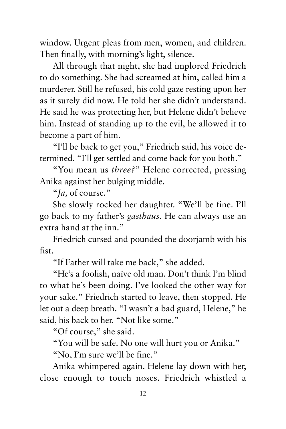window. Urgent pleas from men, women, and children. Then finally, with morning's light, silence.

All through that night, she had implored Friedrich to do something. She had screamed at him, called him a murderer. Still he refused, his cold gaze resting upon her as it surely did now. He told her she didn't understand. He said he was protecting her, but Helene didn't believe him. Instead of standing up to the evil, he allowed it to become a part of him.

"I'll be back to get you," Friedrich said, his voice determined. "I'll get settled and come back for you both."

"You mean us *three?*" Helene corrected, pressing Anika against her bulging middle.

"*Ja,* of course."

She slowly rocked her daughter. "We'll be fine. I'll go back to my father's *gasthaus.* He can always use an extra hand at the inn."

Friedrich cursed and pounded the doorjamb with his fist.

"If Father will take me back," she added.

"He's a foolish, naïve old man. Don't think I'm blind to what he's been doing. I've looked the other way for your sake." Friedrich started to leave, then stopped. He let out a deep breath. "I wasn't a bad guard, Helene," he said, his back to her. "Not like some."

"Of course," she said.

"You will be safe. No one will hurt you or Anika."

"No, I'm sure we'll be fine."

Anika whimpered again. Helene lay down with her, close enough to touch noses. Friedrich whistled a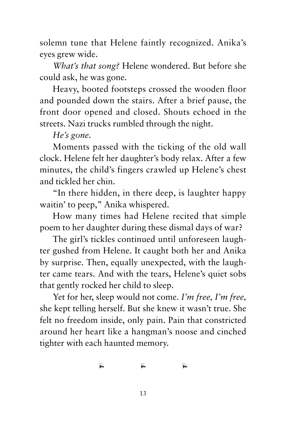solemn tune that Helene faintly recognized. Anika's eyes grew wide.

*What's that song?* Helene wondered. But before she could ask, he was gone.

Heavy, booted footsteps crossed the wooden floor and pounded down the stairs. After a brief pause, the front door opened and closed. Shouts echoed in the streets. Nazi trucks rumbled through the night.

*He's gone.*

Moments passed with the ticking of the old wall clock. Helene felt her daughter's body relax. After a few minutes, the child's fingers crawled up Helene's chest and tickled her chin.

"In there hidden, in there deep, is laughter happy waitin' to peep," Anika whispered.

How many times had Helene recited that simple poem to her daughter during these dismal days of war?

The girl's tickles continued until unforeseen laughter gushed from Helene. It caught both her and Anika by surprise. Then, equally unexpected, with the laughter came tears. And with the tears, Helene's quiet sobs that gently rocked her child to sleep.

Yet for her, sleep would not come. *I'm free, I'm free,* she kept telling herself. But she knew it wasn't true. She felt no freedom inside, only pain. Pain that constricted around her heart like a hangman's noose and cinched tighter with each haunted memory.

 $\vec{r}$   $\vec{r}$   $\vec{r}$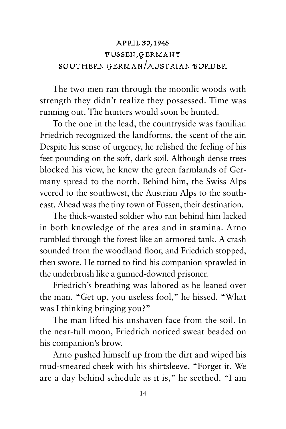## April 30,1945 Füssen,Germany Southern German/Austrian Border

The two men ran through the moonlit woods with strength they didn't realize they possessed. Time was running out. The hunters would soon be hunted.

To the one in the lead, the countryside was familiar. Friedrich recognized the landforms, the scent of the air. Despite his sense of urgency, he relished the feeling of his feet pounding on the soft, dark soil. Although dense trees blocked his view, he knew the green farmlands of Germany spread to the north. Behind him, the Swiss Alps veered to the southwest, the Austrian Alps to the southeast. Ahead was the tiny town of Füssen, their destination.

The thick-waisted soldier who ran behind him lacked in both knowledge of the area and in stamina. Arno rumbled through the forest like an armored tank. A crash sounded from the woodland floor, and Friedrich stopped, then swore. He turned to find his companion sprawled in the underbrush like a gunned-downed prisoner.

Friedrich's breathing was labored as he leaned over the man. "Get up, you useless fool," he hissed. "What was I thinking bringing you?"

The man lifted his unshaven face from the soil. In the near-full moon, Friedrich noticed sweat beaded on his companion's brow.

Arno pushed himself up from the dirt and wiped his mud-smeared cheek with his shirtsleeve. "Forget it. We are a day behind schedule as it is," he seethed. "I am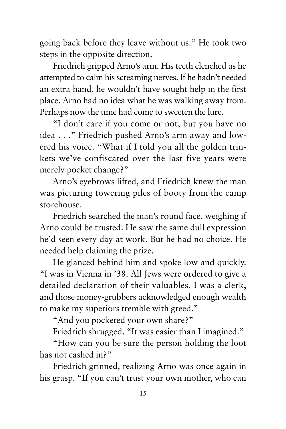going back before they leave without us." He took two steps in the opposite direction.

Friedrich gripped Arno's arm. His teeth clenched as he attempted to calm his screaming nerves. If he hadn't needed an extra hand, he wouldn't have sought help in the first place. Arno had no idea what he was walking away from. Perhaps now the time had come to sweeten the lure.

"I don't care if you come or not, but you have no idea . . ." Friedrich pushed Arno's arm away and lowered his voice. "What if I told you all the golden trinkets we've confiscated over the last five years were merely pocket change?"

Arno's eyebrows lifted, and Friedrich knew the man was picturing towering piles of booty from the camp storehouse.

Friedrich searched the man's round face, weighing if Arno could be trusted. He saw the same dull expression he'd seen every day at work. But he had no choice. He needed help claiming the prize.

He glanced behind him and spoke low and quickly. "I was in Vienna in '38. All Jews were ordered to give a detailed declaration of their valuables. I was a clerk, and those money-grubbers acknowledged enough wealth to make my superiors tremble with greed."

"And you pocketed your own share?"

Friedrich shrugged. "It was easier than I imagined."

"How can you be sure the person holding the loot has not cashed in?"

Friedrich grinned, realizing Arno was once again in his grasp. "If you can't trust your own mother, who can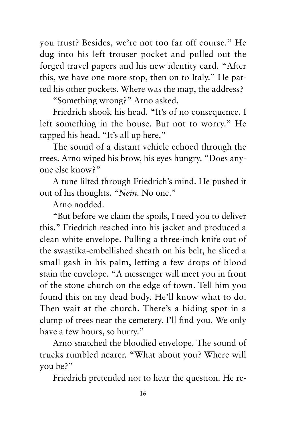you trust? Besides, we're not too far off course." He dug into his left trouser pocket and pulled out the forged travel papers and his new identity card. "After this, we have one more stop, then on to Italy." He patted his other pockets. Where was the map, the address?

"Something wrong?" Arno asked.

Friedrich shook his head. "It's of no consequence. I left something in the house. But not to worry." He tapped his head. "It's all up here."

The sound of a distant vehicle echoed through the trees. Arno wiped his brow, his eyes hungry. "Does anyone else know?"

A tune lilted through Friedrich's mind. He pushed it out of his thoughts. "*Nein.* No one."

Arno nodded.

"But before we claim the spoils, I need you to deliver this." Friedrich reached into his jacket and produced a clean white envelope. Pulling a three-inch knife out of the swastika-embellished sheath on his belt, he sliced a small gash in his palm, letting a few drops of blood stain the envelope. "A messenger will meet you in front of the stone church on the edge of town. Tell him you found this on my dead body. He'll know what to do. Then wait at the church. There's a hiding spot in a clump of trees near the cemetery. I'll find you. We only have a few hours, so hurry."

Arno snatched the bloodied envelope. The sound of trucks rumbled nearer. "What about you? Where will you be?"

Friedrich pretended not to hear the question. He re-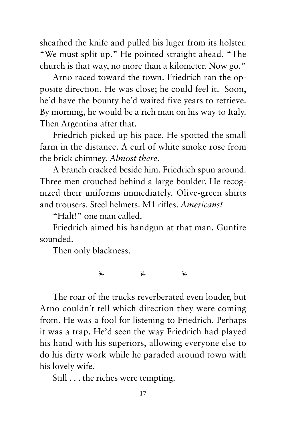sheathed the knife and pulled his luger from its holster. "We must split up." He pointed straight ahead. "The church is that way, no more than a kilometer. Now go."

Arno raced toward the town. Friedrich ran the opposite direction. He was close; he could feel it. Soon, he'd have the bounty he'd waited five years to retrieve. By morning, he would be a rich man on his way to Italy. Then Argentina after that.

Friedrich picked up his pace. He spotted the small farm in the distance. A curl of white smoke rose from the brick chimney. *Almost there.* 

A branch cracked beside him. Friedrich spun around. Three men crouched behind a large boulder. He recognized their uniforms immediately. Olive-green shirts and trousers. Steel helmets. M1 rifles. *Americans!*

"Halt!" one man called.

Friedrich aimed his handgun at that man. Gunfire sounded.

Then only blackness.

## $\vec{r}$   $\vec{r}$   $\vec{r}$

The roar of the trucks reverberated even louder, but Arno couldn't tell which direction they were coming from. He was a fool for listening to Friedrich. Perhaps it was a trap. He'd seen the way Friedrich had played his hand with his superiors, allowing everyone else to do his dirty work while he paraded around town with his lovely wife.

Still . . . the riches were tempting.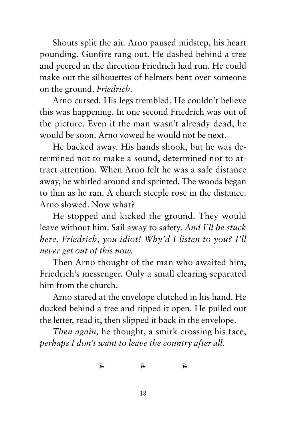Shouts split the air. Arno paused midstep, his heart pounding. Gunfire rang out. He dashed behind a tree and peered in the direction Friedrich had run. He could make out the silhouettes of helmets bent over someone on the ground. *Friedrich.*

Arno cursed. His legs trembled. He couldn't believe this was happening. In one second Friedrich was out of the picture. Even if the man wasn't already dead, he would be soon. Arno vowed he would not be next.

He backed away. His hands shook, but he was determined not to make a sound, determined not to attract attention. When Arno felt he was a safe distance away, he whirled around and sprinted. The woods began to thin as he ran. A church steeple rose in the distance. Arno slowed. Now what?

He stopped and kicked the ground. They would leave without him. Sail away to safety. *And I'll be stuck here. Friedrich, you idiot! Why'd I listen to you? I'll never get out of this now.*

Then Arno thought of the man who awaited him, Friedrich's messenger. Only a small clearing separated him from the church.

Arno stared at the envelope clutched in his hand. He ducked behind a tree and ripped it open. He pulled out the letter, read it, then slipped it back in the envelope.

*Then again,* he thought, a smirk crossing his face, *perhaps I don't want to leave the country after all.*

 $\vec{r}$   $\vec{r}$   $\vec{r}$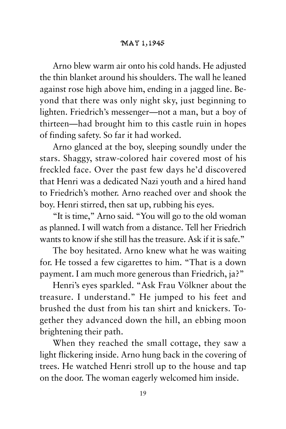Arno blew warm air onto his cold hands. He adjusted the thin blanket around his shoulders. The wall he leaned against rose high above him, ending in a jagged line. Beyond that there was only night sky, just beginning to lighten. Friedrich's messenger—not a man, but a boy of thirteen—had brought him to this castle ruin in hopes of finding safety. So far it had worked.

Arno glanced at the boy, sleeping soundly under the stars. Shaggy, straw-colored hair covered most of his freckled face. Over the past few days he'd discovered that Henri was a dedicated Nazi youth and a hired hand to Friedrich's mother. Arno reached over and shook the boy. Henri stirred, then sat up, rubbing his eyes.

"It is time," Arno said. "You will go to the old woman as planned. I will watch from a distance. Tell her Friedrich wants to know if she still has the treasure. Ask if it is safe."

The boy hesitated. Arno knew what he was waiting for. He tossed a few cigarettes to him. "That is a down payment. I am much more generous than Friedrich, ja?"

Henri's eyes sparkled. "Ask Frau Völkner about the treasure. I understand." He jumped to his feet and brushed the dust from his tan shirt and knickers. Together they advanced down the hill, an ebbing moon brightening their path.

When they reached the small cottage, they saw a light flickering inside. Arno hung back in the covering of trees. He watched Henri stroll up to the house and tap on the door. The woman eagerly welcomed him inside.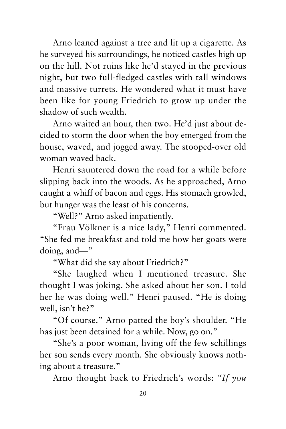Arno leaned against a tree and lit up a cigarette. As he surveyed his surroundings, he noticed castles high up on the hill. Not ruins like he'd stayed in the previous night, but two full-fledged castles with tall windows and massive turrets. He wondered what it must have been like for young Friedrich to grow up under the shadow of such wealth.

Arno waited an hour, then two. He'd just about decided to storm the door when the boy emerged from the house, waved, and jogged away. The stooped-over old woman waved back.

Henri sauntered down the road for a while before slipping back into the woods. As he approached, Arno caught a whiff of bacon and eggs. His stomach growled, but hunger was the least of his concerns.

"Well?" Arno asked impatiently.

"Frau Völkner is a nice lady," Henri commented. "She fed me breakfast and told me how her goats were doing, and—"

"What did she say about Friedrich?"

"She laughed when I mentioned treasure. She thought I was joking. She asked about her son. I told her he was doing well." Henri paused. "He is doing well, isn't he?"

"Of course." Arno patted the boy's shoulder. "He has just been detained for a while. Now, go on."

"She's a poor woman, living off the few schillings her son sends every month. She obviously knows nothing about a treasure."

Arno thought back to Friedrich's words: *"If you*